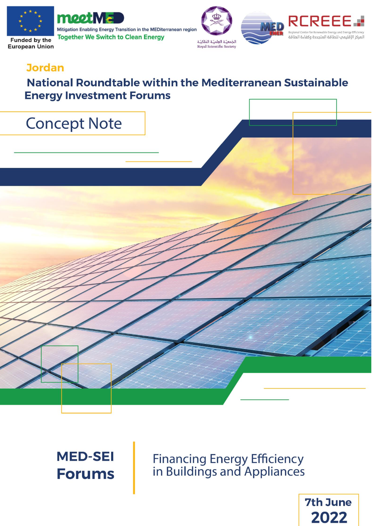

European Union



Mitigation Enabling Energy Transition in the MEDiterranean region **Together We Switch to Clean Energy** 





## **Jordan**

## **National Roundtable within the Mediterranean Sustainable Energy Investment Forums**

## **Concept Note**

**MED-SEI Forums** 

**Financing Energy Efficiency**<br>in Buildings and Appliances

**7th June** 2022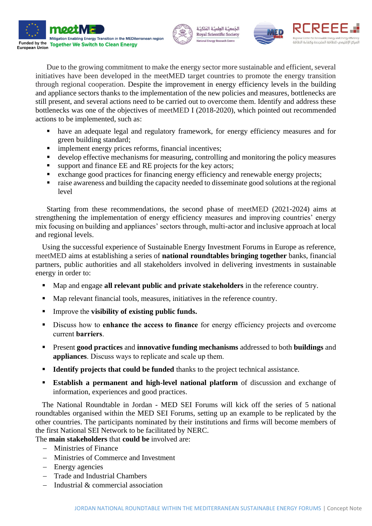







Due to the growing commitment to make the energy sector more sustainable and efficient, several initiatives have been developed in the meetMED target countries to promote the energy transition through regional cooperation. Despite the improvement in energy efficiency levels in the building and appliance sectors thanks to the implementation of the new policies and measures, bottlenecks are still present, and several actions need to be carried out to overcome them. Identify and address these bottlenecks was one of the objectives of meetMED I (2018-2020), which pointed out recommended actions to be implemented, such as:

- have an adequate legal and regulatory framework, for energy efficiency measures and for green building standard;
- **·** implement energy prices reforms, financial incentives;
- develop effective mechanisms for measuring, controlling and monitoring the policy measures
- support and finance EE and RE projects for the key actors;
- exchange good practices for financing energy efficiency and renewable energy projects;
- raise awareness and building the capacity needed to disseminate good solutions at the regional level

Starting from these recommendations, the second phase of meetMED (2021-2024) aims at strengthening the implementation of energy efficiency measures and improving countries' energy mix focusing on building and appliances' sectors through, multi-actor and inclusive approach at local and regional levels.

Using the successful experience of Sustainable Energy Investment Forums in Europe as reference, meetMED aims at establishing a series of **national roundtables bringing together** banks, financial partners, public authorities and all stakeholders involved in delivering investments in sustainable energy in order to:

- Map and engage **all relevant public and private stakeholders** in the reference country.
- Map relevant financial tools, measures, initiatives in the reference country.
- Improve the **visibility of existing public funds.**
- Discuss how to **enhance the access to finance** for energy efficiency projects and overcome current **barriers**.
- Present **good practices** and **innovative funding mechanisms** addressed to both **buildings** and **appliances**. Discuss ways to replicate and scale up them.
- **Example 1 Identify projects that could be funded** thanks to the project technical assistance.
- **Establish a permanent and high-level national platform** of discussion and exchange of information, experiences and good practices.

The National Roundtable in Jordan - MED SEI Forums will kick off the series of 5 national roundtables organised within the MED SEI Forums, setting up an example to be replicated by the other countries. The participants nominated by their institutions and firms will become members of the first National SEI Network to be facilitated by NERC.

The **main stakeholders** that **could be** involved are:

- − Ministries of Finance
- − Ministries of Commerce and Investment
- − Energy agencies
- − Trade and Industrial Chambers
- − Industrial & commercial association